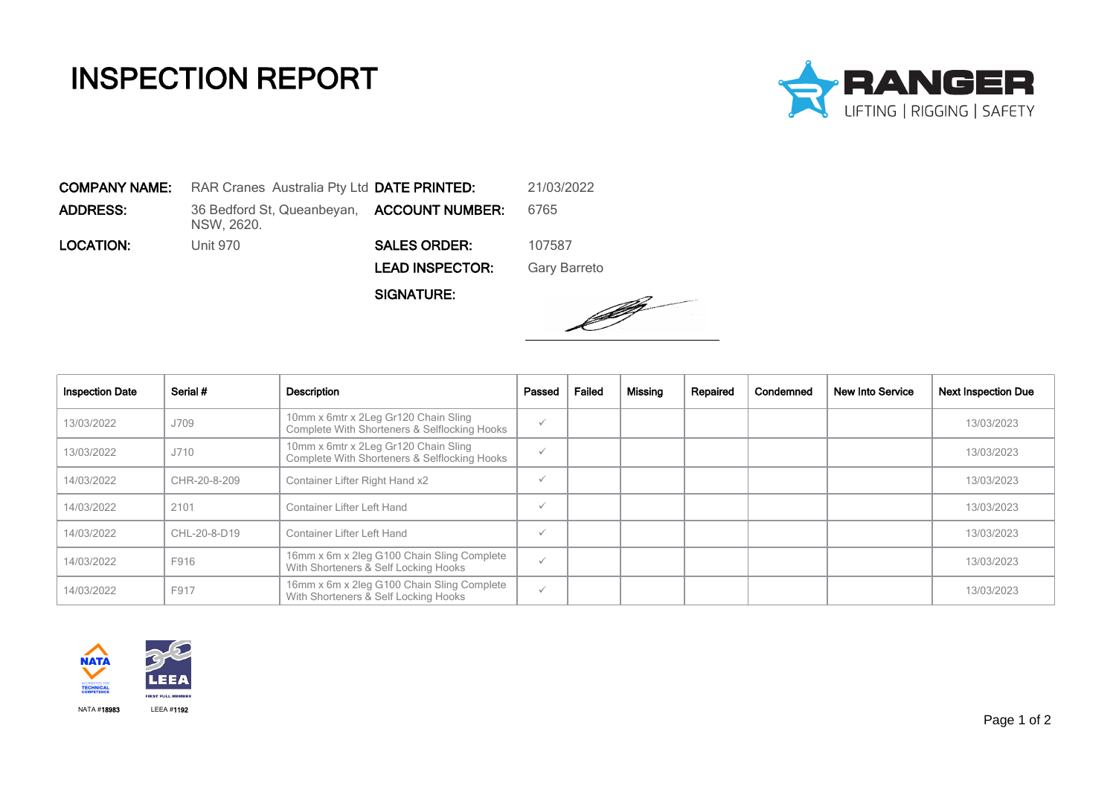## INSPECTION REPORT



COMPANY NAME: RAR Cranes Australia Pty Ltd DATE PRINTED: 21/03/2022 **ADDRESS:** 36 Bedford St, Queanbeyan, **ACCOUNT NUMBER:** 6765 NSW, 2620. LOCATION: Unit 970 SALES ORDER: 107587 LEAD INSPECTOR: Gary Barreto

SIGNATURE:



| <b>Inspection Date</b> | Serial #     | Description                                                                          | Passed       | Failed | Missing | Repaired | Condemned | <b>New Into Service</b> | <b>Next Inspection Due</b> |
|------------------------|--------------|--------------------------------------------------------------------------------------|--------------|--------|---------|----------|-----------|-------------------------|----------------------------|
| 13/03/2022             | J709         | 10mm x 6mtr x 2Leg Gr120 Chain Sling<br>Complete With Shorteners & Selflocking Hooks | $\checkmark$ |        |         |          |           |                         | 13/03/2023                 |
| 13/03/2022             | J710         | 10mm x 6mtr x 2Leg Gr120 Chain Sling<br>Complete With Shorteners & Selflocking Hooks | $\checkmark$ |        |         |          |           |                         | 13/03/2023                 |
| 14/03/2022             | CHR-20-8-209 | Container Lifter Right Hand x2                                                       | $\checkmark$ |        |         |          |           |                         | 13/03/2023                 |
| 14/03/2022             | 2101         | Container Lifter Left Hand                                                           | $\checkmark$ |        |         |          |           |                         | 13/03/2023                 |
| 14/03/2022             | CHL-20-8-D19 | Container Lifter Left Hand                                                           | $\checkmark$ |        |         |          |           |                         | 13/03/2023                 |
| 14/03/2022             | F916         | 16mm x 6m x 2leg G100 Chain Sling Complete<br>With Shorteners & Self Locking Hooks   | $\checkmark$ |        |         |          |           |                         | 13/03/2023                 |
| 14/03/2022             | F917         | 16mm x 6m x 2leg G100 Chain Sling Complete<br>With Shorteners & Self Locking Hooks   | $\checkmark$ |        |         |          |           |                         | 13/03/2023                 |